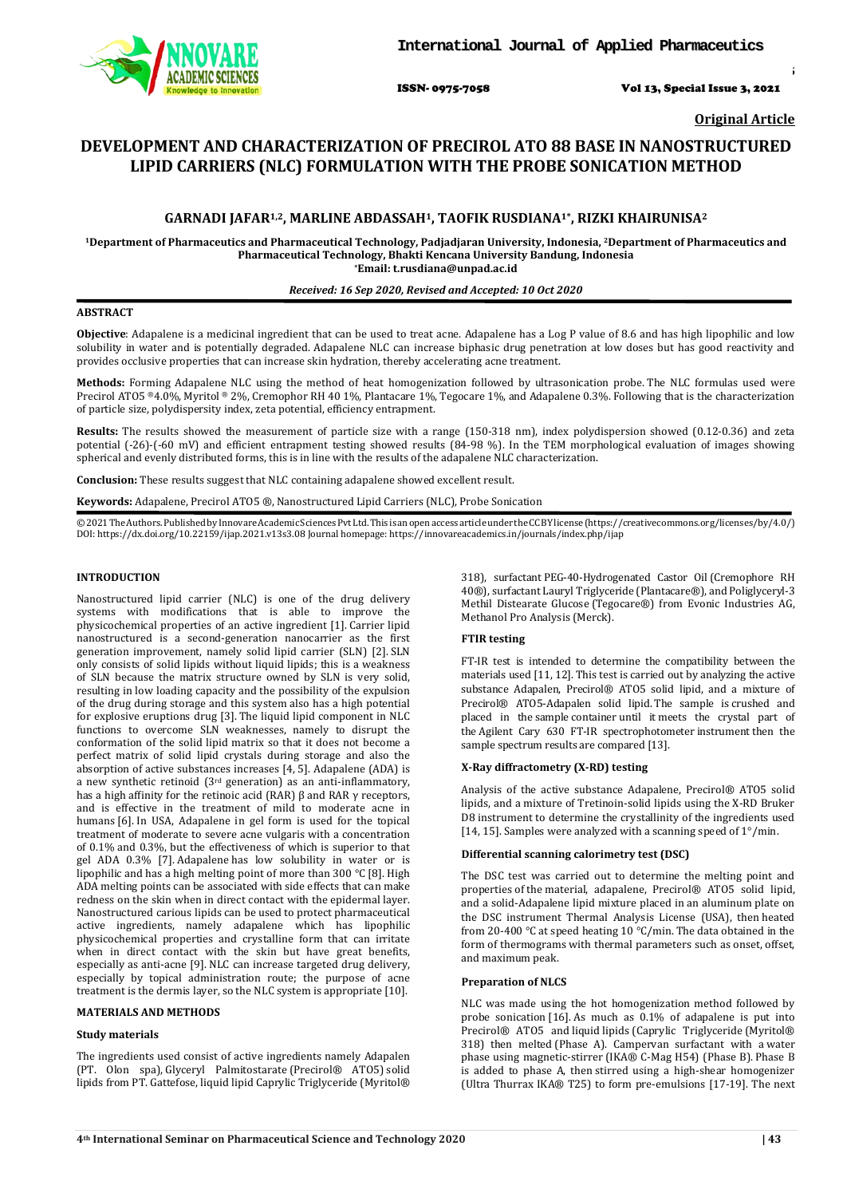

ISSN- 0975-7058 Vol 13, Special Issue 3, 2021

*Int J App Pharm, Vol 13, Special Issue 3, 2021, 43-46*

**Original Article**

# **DEVELOPMENT AND CHARACTERIZATION OF PRECIROL ATO 88 BASE IN NANOSTRUCTURED LIPID CARRIERS (NLC) FORMULATION WITH THE PROBE SONICATION METHOD**

# **GARNADI JAFAR1,2, MARLINE ABDASSAH1, TAOFIK RUSDIANA1\*, RIZKI KHAIRUNISA2**

**1Department of Pharmaceutics and Pharmaceutical Technology, Padjadjaran University, Indonesia, 2Department of Pharmaceutics and Pharmaceutical Technology, Bhakti Kencana University Bandung, Indonesia \*Email: t.rusdiana@unpad.ac.id**

# *Received: 16 Sep 2020, Revised and Accepted: 10 Oct 2020*

# **ABSTRACT**

**Objective**: Adapalene is a medicinal ingredient that can be used to treat acne. Adapalene has a Log P value of 8.6 and has high lipophilic and low solubility in water and is potentially degraded. Adapalene NLC can increase biphasic drug penetration at low doses but has good reactivity and provides occlusive properties that can increase skin hydration, thereby accelerating acne treatment.

**Methods:** Forming Adapalene NLC using the method of heat homogenization followed by ultrasonication probe. The NLC formulas used were Precirol ATO5 ®4.0%, Myritol ® 2%, Cremophor RH 40 1%, Plantacare 1%, Tegocare 1%, and Adapalene 0.3%. Following that is the characterization of particle size, polydispersity index, zeta potential, efficiency entrapment.

**Results:** The results showed the measurement of particle size with a range (150-318 nm), index polydispersion showed (0.12-0.36) and zeta potential (-26)-(-60 mV) and efficient entrapment testing showed results (84-98 %). In the TEM morphological evaluation of images showing spherical and evenly distributed forms, this is in line with the results of the adapalene NLC characterization.

**Conclusion:** These results suggest that NLC containing adapalene showed excellent result.

**Keywords:** Adapalene, Precirol ATO5 ®, Nanostructured Lipid Carriers (NLC), Probe Sonication

©2021TheAuthors.PublishedbyInnovareAcademicSciencesPvtLtd.ThisisanopenaccessarticleundertheCCBYlicense(https://creativ[ecommons.o](http://creativecommons/)rg/licenses/by/4.0/) DOI: [https://dx.doi.org/10.22159/ijap.2021.v13s3.0](https://dx.doi.org/10.22159/ijap.2021.v13s3)8 Journal homepage[: https://innovareacademics.in/journals/index.php/ijap](https://innovareacademics.in/journals/index.php/ijap)

#### **INTRODUCTION**

Nanostructured lipid carrier (NLC) is one of the drug delivery systems with modifications that is able to improve the physicochemical properties of an active ingredient [1]. Carrier lipid nanostructured is a second-generation nanocarrier as the first generation improvement, namely solid lipid carrier (SLN) [2]. SLN only consists of solid lipids without liquid lipids; this is a weakness of SLN because the matrix structure owned by SLN is very solid, resulting in low loading capacity and the possibility of the expulsion of the drug during storage and this system also has a high potential for explosive eruptions drug [3]. The liquid lipid component in NLC functions to overcome SLN weaknesses, namely to disrupt the conformation of the solid lipid matrix so that it does not become a perfect matrix of solid lipid crystals during storage and also the absorption of active substances increases [4, 5]. Adapalene (ADA) is a new synthetic retinoid (3rd generation) as an anti-inflammatory, has a high affinity for the retinoic acid (RAR) β and RAR γ receptors, and is effective in the treatment of mild to moderate acne in humans [6]. In USA, Adapalene in gel form is used for the topical treatment of moderate to severe acne vulgaris with a concentration of 0.1% and 0.3%, but the effectiveness of which is superior to that gel ADA 0.3% [7]. Adapalene has low solubility in water or is lipophilic and has a high melting point of more than 300 °C [8]. High ADA melting points can be associated with side effects that can make redness on the skin when in direct contact with the epidermal layer. Nanostructured carious lipids can be used to protect pharmaceutical active ingredients, namely adapalene which has lipophilic physicochemical properties and crystalline form that can irritate when in direct contact with the skin but have great benefits, especially as anti-acne [9]. NLC can increase targeted drug delivery, especially by topical administration route; the purpose of acne treatment is the dermis layer, so the NLC system is appropriate [10].

# **MATERIALS AND METHODS**

# **Study materials**

The ingredients used consist of active ingredients namely Adapalen (PT. Olon spa), Glyceryl Palmitostarate (Precirol® ATO5) solid lipids from PT. Gattefose, liquid lipid Caprylic Triglyceride (Myritol® 318), surfactant PEG-40-Hydrogenated Castor Oil (Cremophore RH 40®), surfactant Lauryl Triglyceride (Plantacare®), and Poliglyceryl-3 Methil Distearate Glucose (Tegocare®) from Evonic Industries AG, Methanol Pro Analysis (Merck).

#### **FTIR testing**

FT-IR test is intended to determine the compatibility between the materials used [11, 12]. This test is carried out by analyzing the active substance Adapalen, Precirol® ATO5 solid lipid, and a mixture of Precirol® ATO5-Adapalen solid lipid. The sample is crushed and placed in the sample container until it meets the crystal part of the Agilent Cary 630 FT-IR spectrophotometer instrument then the sample spectrum results are compared [13].

#### **X-Ray diffractometry (X-RD) testing**

Analysis of the active substance Adapalene, Precirol® ATO5 solid lipids, and a mixture of Tretinoin-solid lipids using the X-RD Bruker D8 instrument to determine the crystallinity of the ingredients used [14, 15]. Samples were analyzed with a scanning speed of 1°/min.

#### **Differential scanning calorimetry test (DSC)**

The DSC test was carried out to determine the melting point and properties of the material, adapalene, Precirol® ATO5 solid lipid, and a solid-Adapalene lipid mixture placed in an aluminum plate on the DSC instrument Thermal Analysis License (USA), then heated from 20-400  $^{\rm o}{\rm C}$  at speed heating 10  $^{\rm o}{\rm C/min.}$  The data obtained in the form of thermograms with thermal parameters such as onset, offset, and maximum peak.

# **Preparation of NLCS**

NLC was made using the hot homogenization method followed by probe sonication [16]. As much as 0.1% of adapalene is put into Precirol® ATO5 and liquid lipids (Caprylic Triglyceride (Myritol® 318) then melted (Phase A). Campervan surfactant with a water phase using magnetic-stirrer (IKA® C-Mag H54) (Phase B). Phase B is added to phase A, then stirred using a high-shear homogenizer (Ultra Thurrax IKA® T25) to form pre-emulsions [17-19]. The next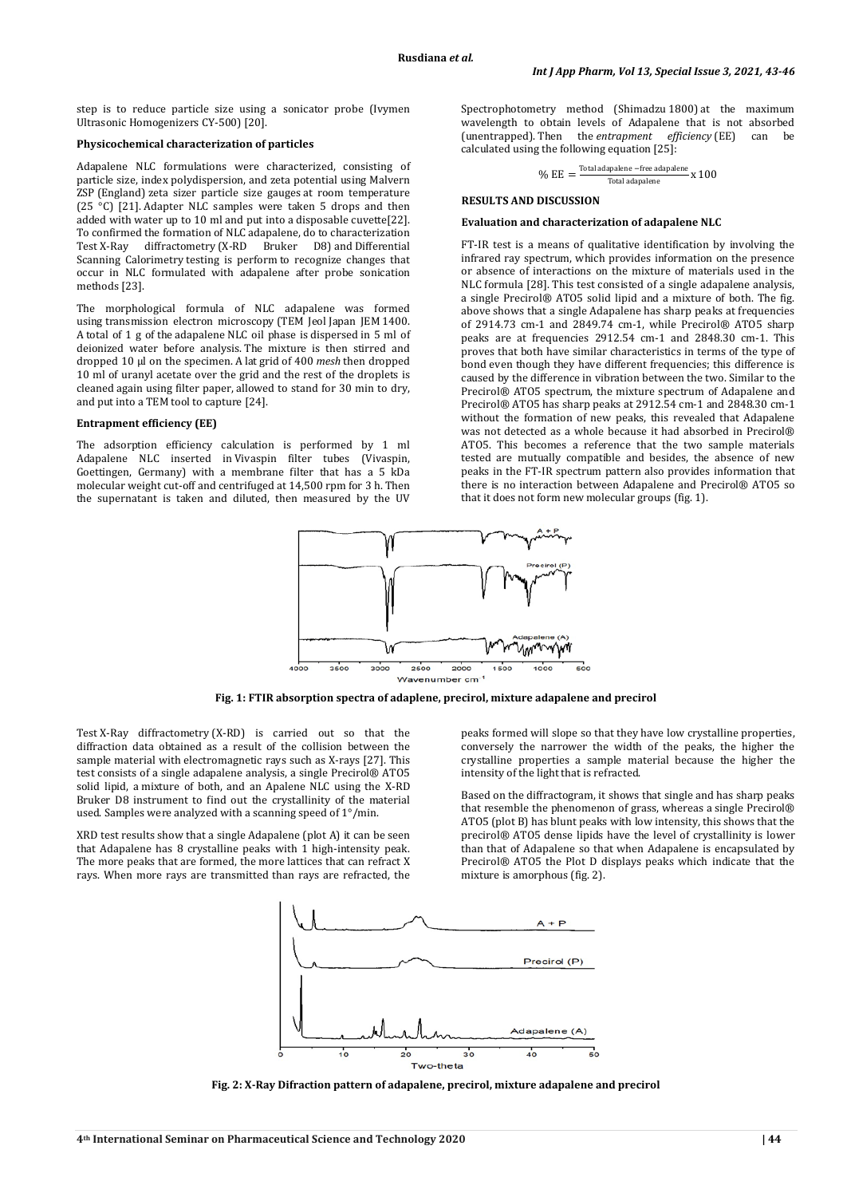step is to reduce particle size using a sonicator probe (Ivymen Ultrasonic Homogenizers CY-500) [20].

#### **Physicochemical characterization of particles**

Adapalene NLC formulations were characterized, consisting of particle size, index polydispersion, and zeta potential using Malvern ZSP (England) zeta sizer particle size gauges at room temperature (25 °C) [21]. Adapter NLC samples were taken 5 drops and then added with water up to 10 ml and put into a disposable cuvette[22]. To confirmed the formation of NLC adapalene, do to characterization<br>Test X-Rav diffractometry (X-RD Bruker D8) and Differential diffractometry  $(X-RD$  Bruker D8) and Differential Scanning Calorimetry testing is perform to recognize changes that occur in NLC formulated with adapalene after probe sonication methods [23].

The morphological formula of NLC adapalene was formed using transmission electron microscopy (TEM Jeol Japan JEM 1400. A total of 1 g of the adapalene NLC oil phase is dispersed in 5 ml of deionized water before analysis. The mixture is then stirred and dropped 10 µl on the specimen. A lat grid of 400 *mesh* then dropped 10 ml of uranyl acetate over the grid and the rest of the droplets is cleaned again using filter paper, allowed to stand for 30 min to dry, and put into a TEM tool to capture [24].

#### **Entrapment efficiency (EE)**

The adsorption efficiency calculation is performed by 1 ml Adapalene NLC inserted in Vivaspin filter tubes (Vivaspin, Goettingen, Germany) with a membrane filter that has a 5 kDa molecular weight cut-off and centrifuged at 14,500 rpm for 3 h. Then the supernatant is taken and diluted, then measured by the UV

Spectrophotometry method (Shimadzu 1800) at the maximum wavelength to obtain levels of Adapalene that is not absorbed (unentrapped). Then the *entrapment efficiency* (EE) can be calculated using the following equation [25]:

$$
\% EE = \frac{\text{Total adapalene - free adapalene}}{\text{Total adapalene}} \times 100
$$

#### **RESULTS AND DISCUSSION**

#### **Evaluation and characterization of adapalene NLC**

FT-IR test is a means of qualitative identification by involving the infrared ray spectrum, which provides information on the presence or absence of interactions on the mixture of materials used in the NLC formula [28]. This test consisted of a single adapalene analysis, a single Precirol® ATO5 solid lipid and a mixture of both. The fig. above shows that a single Adapalene has sharp peaks at frequencies of 2914.73 cm-1 and 2849.74 cm-1, while Precirol® ATO5 sharp peaks are at frequencies 2912.54 cm-1 and 2848.30 cm-1. This proves that both have similar characteristics in terms of the type of bond even though they have different frequencies; this difference is caused by the difference in vibration between the two. Similar to the Precirol® ATO5 spectrum, the mixture spectrum of Adapalene and Precirol® ATO5 has sharp peaks at 2912.54 cm-1 and 2848.30 cm-1 without the formation of new peaks, this revealed that Adapalene was not detected as a whole because it had absorbed in Precirol® ATO5. This becomes a reference that the two sample materials tested are mutually compatible and besides, the absence of new peaks in the FT-IR spectrum pattern also provides information that there is no interaction between Adapalene and Precirol® ATO5 so that it does not form new molecular groups (fig. 1).



**Fig. 1: FTIR absorption spectra of adaplene, precirol, mixture adapalene and precirol**

Test X-Ray diffractometry (X-RD) is carried out so that the diffraction data obtained as a result of the collision between the sample material with electromagnetic rays such as X-rays [27]. This test consists of a single adapalene analysis, a single Precirol® ATO5 solid lipid, a mixture of both, and an Apalene NLC using the X-RD Bruker D8 instrument to find out the crystallinity of the material used. Samples were analyzed with a scanning speed of 1°/min.

XRD test results show that a single Adapalene (plot A) it can be seen that Adapalene has 8 crystalline peaks with 1 high-intensity peak. The more peaks that are formed, the more lattices that can refract X rays. When more rays are transmitted than rays are refracted, the

peaks formed will slope so that they have low crystalline properties, conversely the narrower the width of the peaks, the higher the crystalline properties a sample material because the higher the intensity of the light that is refracted.

Based on the diffractogram, it shows that single and has sharp peaks that resemble the phenomenon of grass, whereas a single Precirol® ATO5 (plot B) has blunt peaks with low intensity, this shows that the precirol® ATO5 dense lipids have the level of crystallinity is lower than that of Adapalene so that when Adapalene is encapsulated by Precirol® ATO5 the Plot D displays peaks which indicate that the mixture is amorphous (fig. 2).



**Fig. 2: X-Ray Difraction pattern of adapalene, precirol, mixture adapalene and precirol**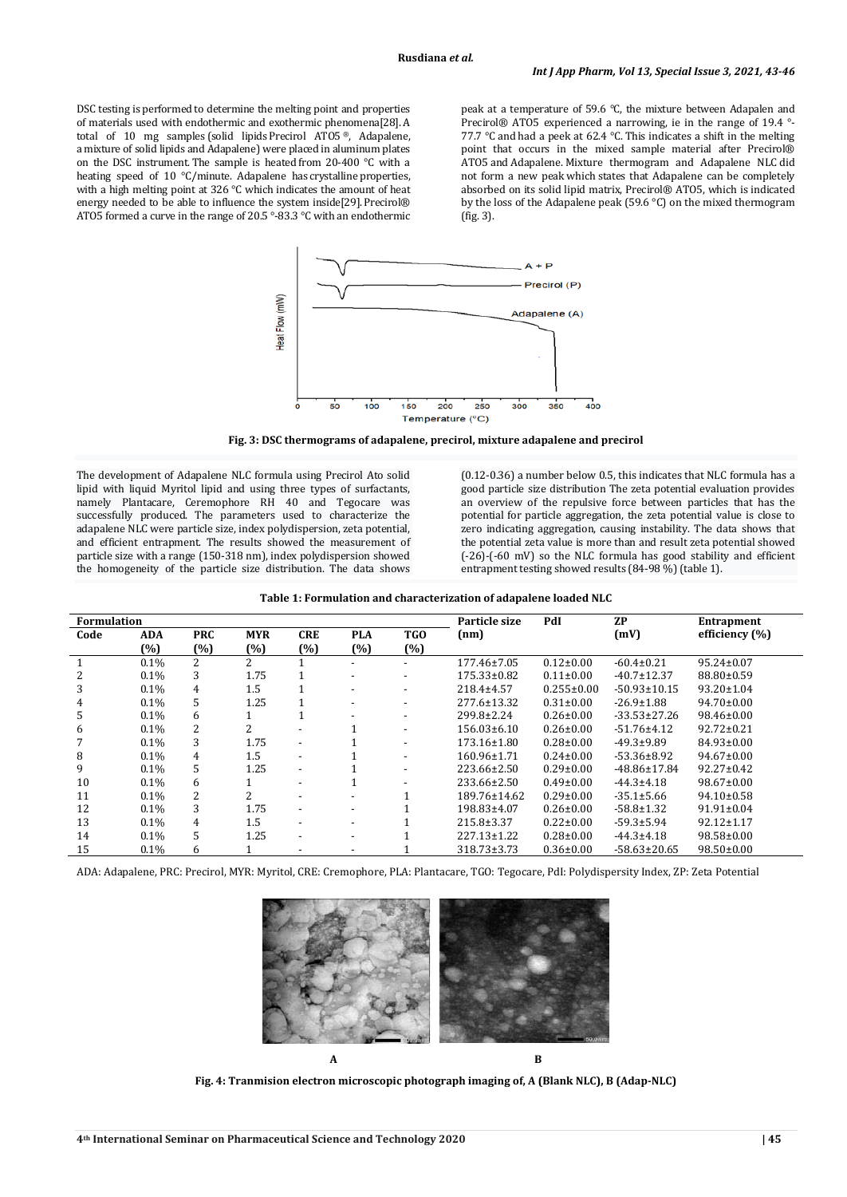DSC testing is performed to determine the melting point and properties of materials used with endothermic and exothermic phenomena[28]. A total of 10 mg samples (solid lipids Precirol ATO5 ®, Adapalene, a mixture of solid lipids and Adapalene) were placed in aluminum plates on the DSC instrument. The sample is heated from 20-400 °C with a heating speed of 10 °C/minute. Adapalene has crystalline properties, with a high melting point at 326 °C which indicates the amount of heat energy needed to be able to influence the system inside[29]. Precirol® ATO5 formed a curve in the range of 20.5 °-83.3 °C with an endothermic

peak at a temperature of 59.6 °C, the mixture between Adapalen and Precirol® ATO5 experienced a narrowing, ie in the range of 19.4 °- 77.7 °C and had a peek at 62.4 °C. This indicates a shift in the melting point that occurs in the mixed sample material after Precirol® ATO5 and Adapalene. Mixture thermogram and Adapalene NLC did not form a new peak which states that Adapalene can be completely absorbed on its solid lipid matrix, Precirol® ATO5, which is indicated by the loss of the Adapalene peak (59.6 °C) on the mixed thermogram (fig. 3).



**Fig. 3: DSC thermograms of adapalene, precirol, mixture adapalene and precirol**

The development of Adapalene NLC formula using Precirol Ato solid lipid with liquid Myritol lipid and using three types of surfactants, namely Plantacare, Ceremophore RH 40 and Tegocare was successfully produced. The parameters used to characterize the adapalene NLC were particle size, index polydispersion, zeta potential, and efficient entrapment. The results showed the measurement of particle size with a range (150-318 nm), index polydispersion showed the homogeneity of the particle size distribution. The data shows

(0.12-0.36) a number below 0.5, this indicates that NLC formula has a good particle size distribution The zeta potential evaluation provides an overview of the repulsive force between particles that has the potential for particle aggregation, the zeta potential value is close to zero indicating aggregation, causing instability. The data shows that the potential zeta value is more than and result zeta potential showed (-26)-(-60 mV) so the NLC formula has good stability and efficient entrapment testing showed results (84-98 %) (table 1).

|  | Table 1: Formulation and characterization of adapalene loaded NLC |  |
|--|-------------------------------------------------------------------|--|
|  |                                                                   |  |

| <b>Formulation</b> |            |                |            |                          |            | Particle size            | PdI                | <b>ZP</b>        | <b>Entrapment</b>  |                  |
|--------------------|------------|----------------|------------|--------------------------|------------|--------------------------|--------------------|------------------|--------------------|------------------|
| Code               | <b>ADA</b> | <b>PRC</b>     | <b>MYR</b> | <b>CRE</b>               | <b>PLA</b> | TGO                      | (nm)               |                  | (mV)               | efficiency (%)   |
|                    | $(\%)$     | $(\%)$         | (%)        | (%)                      | (%)        | (%)                      |                    |                  |                    |                  |
|                    | $0.1\%$    | 2              | 2          |                          |            |                          | 177.46±7.05        | $0.12 \pm 0.00$  | $-60.4 \pm 0.21$   | 95.24±0.07       |
|                    | $0.1\%$    | 3              | 1.75       |                          |            |                          | 175.33±0.82        | $0.11 \pm 0.00$  | $-40.7 \pm 12.37$  | 88.80±0.59       |
| 3                  | $0.1\%$    | 4              | 1.5        |                          |            | $\overline{\phantom{a}}$ | 218.4±4.57         | $0.255 \pm 0.00$ | $-50.93 \pm 10.15$ | $93.20 \pm 1.04$ |
| 4                  | $0.1\%$    | 5              | 1.25       |                          |            | $\overline{\phantom{a}}$ | 277.6±13.32        | $0.31 \pm 0.00$  | $-26.9 \pm 1.88$   | $94.70 \pm 0.00$ |
| 5                  | 0.1%       | 6              |            |                          |            |                          | 299.8±2.24         | $0.26 \pm 0.00$  | $-33.53 \pm 27.26$ | 98.46±0.00       |
| 6                  | $0.1\%$    | 2              | 2          |                          |            |                          | $156.03\pm 6.10$   | $0.26 \pm 0.00$  | $-51.76 \pm 4.12$  | $92.72 \pm 0.21$ |
|                    | $0.1\%$    | 3              | 1.75       | $\overline{\phantom{a}}$ |            |                          | $173.16 \pm 1.80$  | $0.28 \pm 0.00$  | $-49.3+9.89$       | $84.93 \pm 0.00$ |
| 8                  | $0.1\%$    | 4              | 1.5        | $\overline{\phantom{a}}$ |            |                          | $160.96 \pm 1.71$  | $0.24 \pm 0.00$  | $-53.36 \pm 8.92$  | $94.67 \pm 0.00$ |
| 9                  | 0.1%       | 5              | 1.25       | $\overline{\phantom{a}}$ |            |                          | 223.66±2.50        | $0.29 \pm 0.00$  | $-48.86 \pm 17.84$ | $92.27 \pm 0.42$ |
| 10                 | $0.1\%$    | 6              |            |                          |            |                          | $233.66 \pm 2.50$  | $0.49 \pm 0.00$  | $-44.3+4.18$       | $98.67 \pm 0.00$ |
| 11                 | $0.1\%$    | 2              | 2          |                          |            |                          | $189.76 \pm 14.62$ | $0.29 \pm 0.00$  | $-35.1 \pm 5.66$   | $94.10 \pm 0.58$ |
| 12                 | $0.1\%$    | 3              | 1.75       | $\overline{\phantom{a}}$ | -          |                          | 198.83±4.07        | $0.26 \pm 0.00$  | $-58.8 \pm 1.32$   | 91.91±0.04       |
| 13                 | $0.1\%$    | $\overline{4}$ | 1.5        | $\overline{\phantom{a}}$ | -          |                          | 215.8±3.37         | $0.22 \pm 0.00$  | $-59.3 \pm 5.94$   | $92.12 \pm 1.17$ |
| 14                 | $0.1\%$    | 5              | 1.25       | $\overline{\phantom{a}}$ | -          |                          | $227.13 \pm 1.22$  | $0.28 \pm 0.00$  | $-44.3 \pm 4.18$   | $98.58 \pm 0.00$ |
| 15                 | 0.1%       | 6              |            | $\overline{\phantom{a}}$ | -          |                          | 318.73±3.73        | $0.36 \pm 0.00$  | $-58.63 \pm 20.65$ | $98.50 \pm 0.00$ |

ADA: Adapalene, PRC: Precirol, MYR: Myritol, CRE: Cremophore, PLA: Plantacare, TGO: Tegocare, PdI: Polydispersity Index, ZP: Zeta Potential



**Fig. 4: Tranmision electron microscopic photograph imaging of, A (Blank NLC), B (Adap-NLC)**